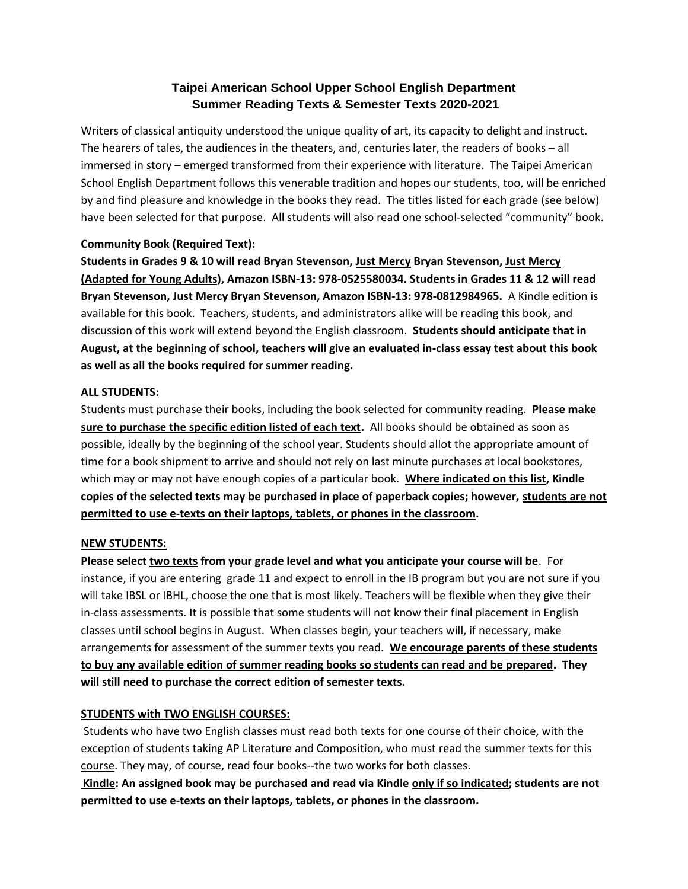# **Taipei American School Upper School English Department Summer Reading Texts & Semester Texts 2020-2021**

Writers of classical antiquity understood the unique quality of art, its capacity to delight and instruct. The hearers of tales, the audiences in the theaters, and, centuries later, the readers of books – all immersed in story – emerged transformed from their experience with literature. The Taipei American School English Department follows this venerable tradition and hopes our students, too, will be enriched by and find pleasure and knowledge in the books they read. The titles listed for each grade (see below) have been selected for that purpose. All students will also read one school-selected "community" book.

# **Community Book (Required Text):**

**Students in Grades 9 & 10 will read Bryan Stevenson, Just Mercy Bryan Stevenson, Just Mercy (Adapted for Young Adults), Amazon ISBN-13: 978-0525580034. Students in Grades 11 & 12 will read Bryan Stevenson, Just Mercy Bryan Stevenson, Amazon ISBN-13: 978-0812984965.** A Kindle edition is available for this book. Teachers, students, and administrators alike will be reading this book, and discussion of this work will extend beyond the English classroom. **Students should anticipate that in August, at the beginning of school, teachers will give an evaluated in-class essay test about this book as well as all the books required for summer reading.**

#### **ALL STUDENTS:**

Students must purchase their books, including the book selected for community reading. **Please make sure to purchase the specific edition listed of each text.** All books should be obtained as soon as possible, ideally by the beginning of the school year. Students should allot the appropriate amount of time for a book shipment to arrive and should not rely on last minute purchases at local bookstores, which may or may not have enough copies of a particular book. **Where indicated on this list, Kindle copies of the selected texts may be purchased in place of paperback copies; however, students are not permitted to use e-texts on their laptops, tablets, or phones in the classroom.**

# **NEW STUDENTS:**

**Please select two texts from your grade level and what you anticipate your course will be**. For instance, if you are entering grade 11 and expect to enroll in the IB program but you are not sure if you will take IBSL or IBHL, choose the one that is most likely. Teachers will be flexible when they give their in-class assessments. It is possible that some students will not know their final placement in English classes until school begins in August. When classes begin, your teachers will, if necessary, make arrangements for assessment of the summer texts you read. **We encourage parents of these students to buy any available edition of summer reading books so students can read and be prepared. They will still need to purchase the correct edition of semester texts.**

# **STUDENTS with TWO ENGLISH COURSES:**

Students who have two English classes must read both texts for one course of their choice, with the exception of students taking AP Literature and Composition, who must read the summer texts for this course. They may, of course, read four books--the two works for both classes.

**Kindle: An assigned book may be purchased and read via Kindle only if so indicated; students are not permitted to use e-texts on their laptops, tablets, or phones in the classroom.**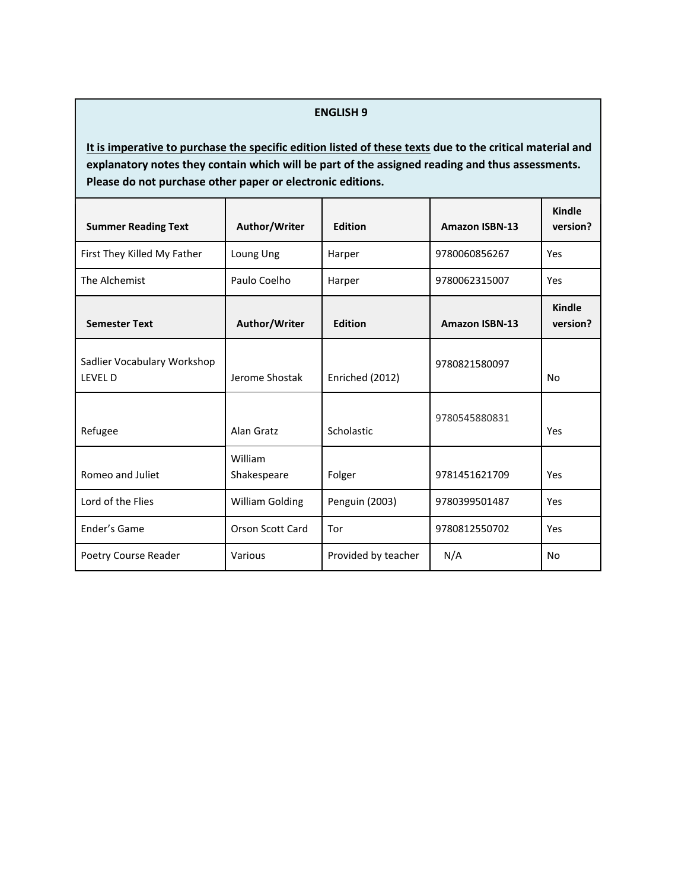#### **ENGLISH 9**

| <b>Summer Reading Text</b>                    | Author/Writer           | <b>Edition</b>      | <b>Amazon ISBN-13</b> | Kindle<br>version?        |
|-----------------------------------------------|-------------------------|---------------------|-----------------------|---------------------------|
| First They Killed My Father                   | Loung Ung               | Harper              | 9780060856267         | Yes                       |
| The Alchemist                                 | Paulo Coelho            | Harper              | 9780062315007         | Yes                       |
| <b>Semester Text</b>                          | Author/Writer           | <b>Edition</b>      | <b>Amazon ISBN-13</b> | <b>Kindle</b><br>version? |
| Sadlier Vocabulary Workshop<br><b>LEVEL D</b> | Jerome Shostak          | Enriched (2012)     | 9780821580097         | No                        |
| Refugee                                       | Alan Gratz              | Scholastic          | 9780545880831         | Yes                       |
| Romeo and Juliet                              | William<br>Shakespeare  | Folger              | 9781451621709         | Yes                       |
| Lord of the Flies                             | <b>William Golding</b>  | Penguin (2003)      | 9780399501487         | Yes                       |
| Ender's Game                                  | <b>Orson Scott Card</b> | Tor                 | 9780812550702         | Yes                       |
| Poetry Course Reader                          | Various                 | Provided by teacher | N/A                   | No                        |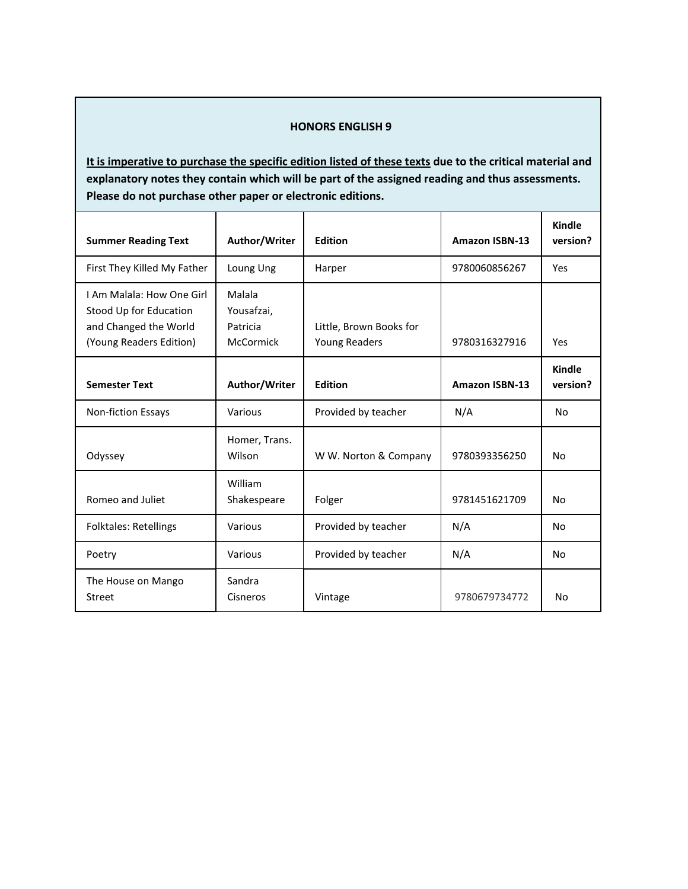#### **HONORS ENGLISH 9**

| <b>Summer Reading Text</b>                                                                              | Author/Writer                                 | <b>Edition</b>                           | <b>Amazon ISBN-13</b> | Kindle<br>version? |
|---------------------------------------------------------------------------------------------------------|-----------------------------------------------|------------------------------------------|-----------------------|--------------------|
| First They Killed My Father                                                                             | Loung Ung                                     | Harper                                   | 9780060856267         | Yes                |
| I Am Malala: How One Girl<br>Stood Up for Education<br>and Changed the World<br>(Young Readers Edition) | Malala<br>Yousafzai,<br>Patricia<br>McCormick | Little, Brown Books for<br>Young Readers | 9780316327916         | Yes                |
| <b>Semester Text</b>                                                                                    | Author/Writer                                 | <b>Edition</b>                           | <b>Amazon ISBN-13</b> | Kindle<br>version? |
| Non-fiction Essays                                                                                      | Various                                       | Provided by teacher                      | N/A                   | No                 |
| Odyssey                                                                                                 | Homer, Trans.<br>Wilson                       | W W. Norton & Company                    | 9780393356250         | No                 |
| Romeo and Juliet                                                                                        | William<br>Shakespeare                        | Folger                                   | 9781451621709         | No                 |
| <b>Folktales: Retellings</b>                                                                            | Various                                       | Provided by teacher                      | N/A                   | No                 |
| Poetry                                                                                                  | Various                                       | Provided by teacher                      | N/A                   | No                 |
| The House on Mango<br>Street                                                                            | Sandra<br>Cisneros                            | Vintage                                  | 9780679734772         | <b>No</b>          |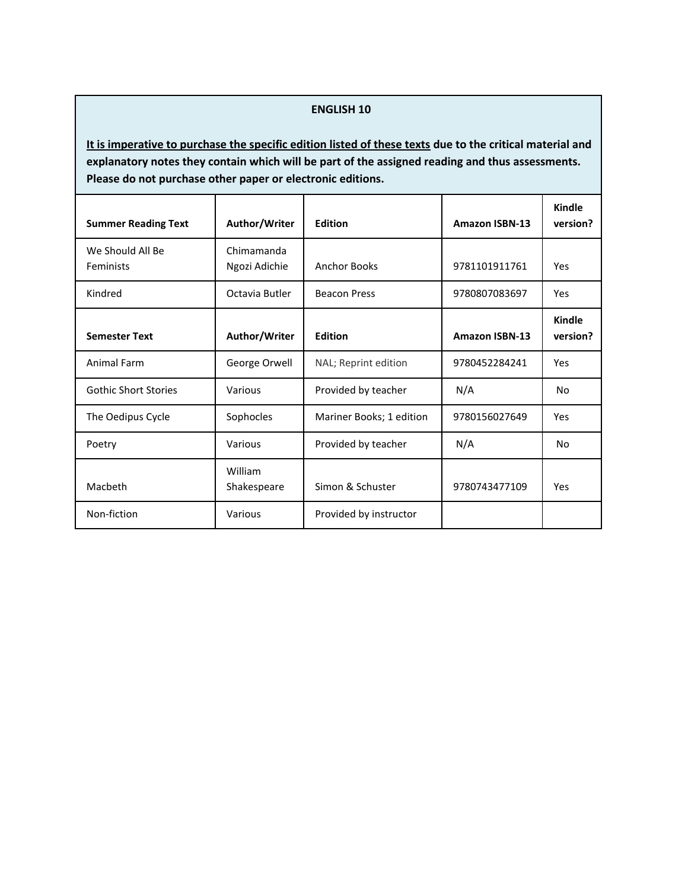#### **ENGLISH 10**

| <b>Summer Reading Text</b>    | Author/Writer               | <b>Edition</b>           | <b>Amazon ISBN-13</b> | <b>Kindle</b><br>version? |
|-------------------------------|-----------------------------|--------------------------|-----------------------|---------------------------|
| We Should All Be<br>Feminists | Chimamanda<br>Ngozi Adichie | <b>Anchor Books</b>      | 9781101911761         | Yes                       |
| Kindred                       | Octavia Butler              | <b>Beacon Press</b>      | 9780807083697         | Yes                       |
| <b>Semester Text</b>          | Author/Writer               | <b>Edition</b>           | <b>Amazon ISBN-13</b> | Kindle<br>version?        |
| Animal Farm                   | George Orwell               | NAL; Reprint edition     | 9780452284241         | Yes                       |
| <b>Gothic Short Stories</b>   | Various                     | Provided by teacher      | N/A                   | N <sub>o</sub>            |
| The Oedipus Cycle             | Sophocles                   | Mariner Books; 1 edition | 9780156027649         | Yes                       |
| Poetry                        | Various                     | Provided by teacher      | N/A                   | N <sub>o</sub>            |
| Macbeth                       | William<br>Shakespeare      | Simon & Schuster         | 9780743477109         | Yes                       |
| Non-fiction                   | Various                     | Provided by instructor   |                       |                           |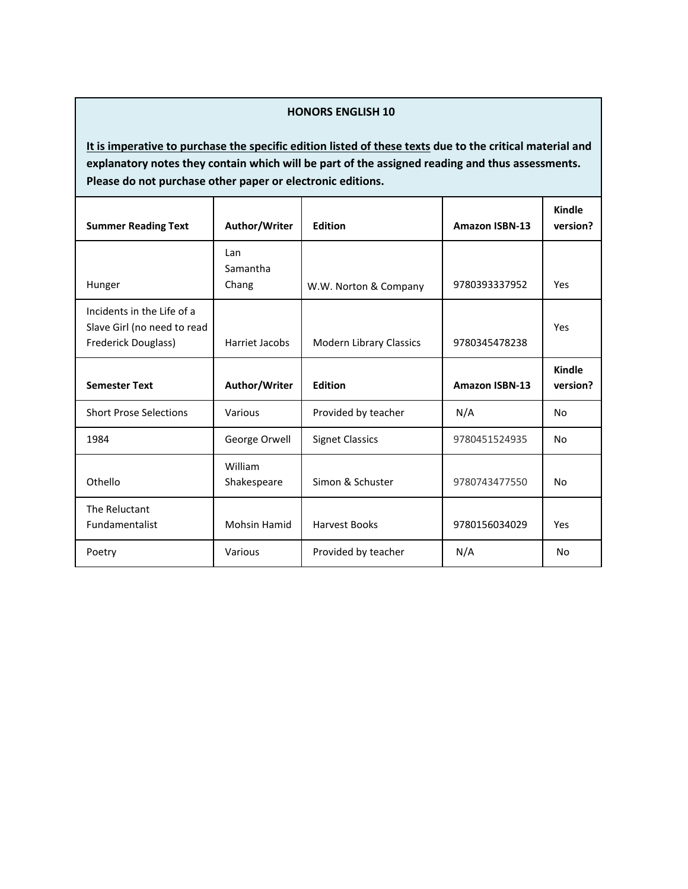# **HONORS ENGLISH 10**

| <b>Summer Reading Text</b>                                                       | Author/Writer            | <b>Edition</b>          | <b>Amazon ISBN-13</b> | Kindle<br>version? |
|----------------------------------------------------------------------------------|--------------------------|-------------------------|-----------------------|--------------------|
| Hunger                                                                           | Lan<br>Samantha<br>Chang | W.W. Norton & Company   | 9780393337952         | Yes                |
| Incidents in the Life of a<br>Slave Girl (no need to read<br>Frederick Douglass) | Harriet Jacobs           | Modern Library Classics | 9780345478238         | Yes                |
| <b>Semester Text</b>                                                             | Author/Writer            | <b>Edition</b>          | <b>Amazon ISBN-13</b> | Kindle<br>version? |
| <b>Short Prose Selections</b>                                                    | Various                  | Provided by teacher     | N/A                   | No                 |
| 1984                                                                             | George Orwell            | <b>Signet Classics</b>  | 9780451524935         | <b>No</b>          |
| Othello                                                                          | William<br>Shakespeare   | Simon & Schuster        | 9780743477550         | No                 |
| The Reluctant<br><b>Fundamentalist</b>                                           | <b>Mohsin Hamid</b>      | <b>Harvest Books</b>    | 9780156034029         | Yes                |
| Poetry                                                                           | Various                  | Provided by teacher     | N/A                   | No                 |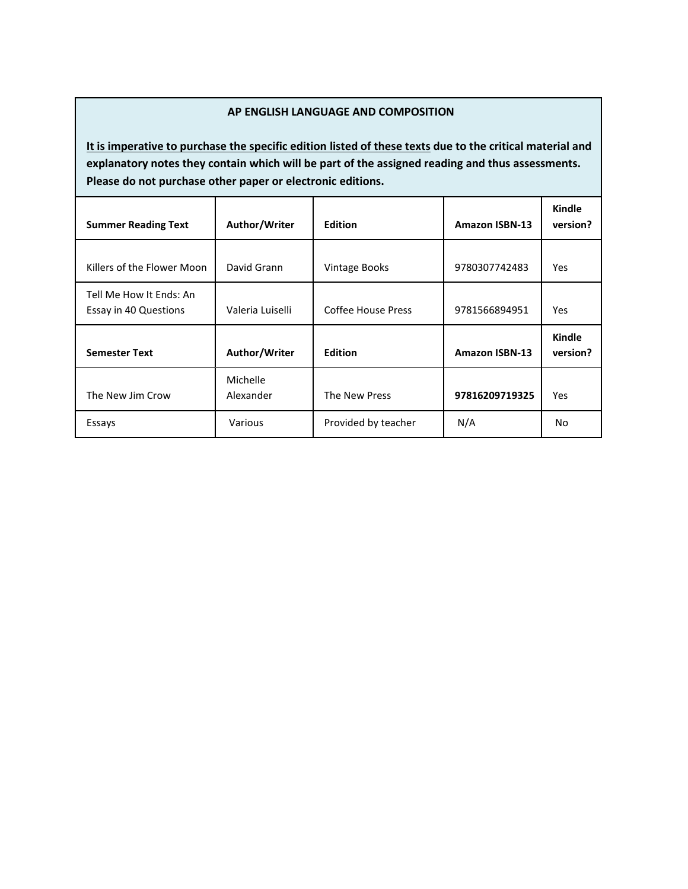### **AP ENGLISH LANGUAGE AND COMPOSITION**

| <b>Summer Reading Text</b>                       | Author/Writer         | <b>Edition</b>       | <b>Amazon ISBN-13</b> | Kindle<br>version? |
|--------------------------------------------------|-----------------------|----------------------|-----------------------|--------------------|
| Killers of the Flower Moon                       | David Grann           | <b>Vintage Books</b> | 9780307742483         | <b>Yes</b>         |
| Tell Me How It Ends: An<br>Essay in 40 Questions | Valeria Luiselli      | Coffee House Press   | 9781566894951         | Yes.               |
| <b>Semester Text</b>                             | Author/Writer         | <b>Edition</b>       | <b>Amazon ISBN-13</b> | Kindle<br>version? |
| The New Jim Crow                                 | Michelle<br>Alexander | The New Press        | 97816209719325        | <b>Yes</b>         |
| Essays                                           | Various               | Provided by teacher  | N/A                   | No                 |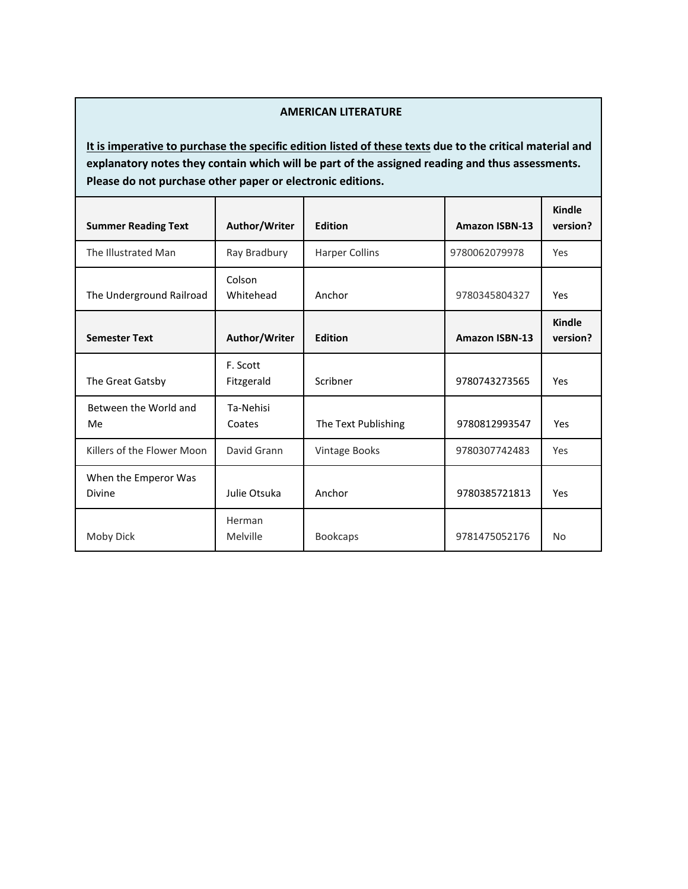# **AMERICAN LITERATURE**

| <b>Summer Reading Text</b>            | Author/Writer          | <b>Edition</b>        | <b>Amazon ISBN-13</b> | <b>Kindle</b><br>version? |
|---------------------------------------|------------------------|-----------------------|-----------------------|---------------------------|
| The Illustrated Man                   | Ray Bradbury           | <b>Harper Collins</b> | 9780062079978         | Yes                       |
| The Underground Railroad              | Colson<br>Whitehead    | Anchor                | 9780345804327         | Yes                       |
| <b>Semester Text</b>                  | Author/Writer          | <b>Edition</b>        | <b>Amazon ISBN-13</b> | Kindle<br>version?        |
| The Great Gatsby                      | F. Scott<br>Fitzgerald | Scribner              | 9780743273565         | Yes                       |
| Between the World and<br>Me           | Ta-Nehisi<br>Coates    | The Text Publishing   | 9780812993547         | Yes                       |
| Killers of the Flower Moon            | David Grann            | Vintage Books         | 9780307742483         | Yes                       |
| When the Emperor Was<br><b>Divine</b> | Julie Otsuka           | Anchor                | 9780385721813         | Yes                       |
| Moby Dick                             | Herman<br>Melville     | <b>Bookcaps</b>       | 9781475052176         | <b>No</b>                 |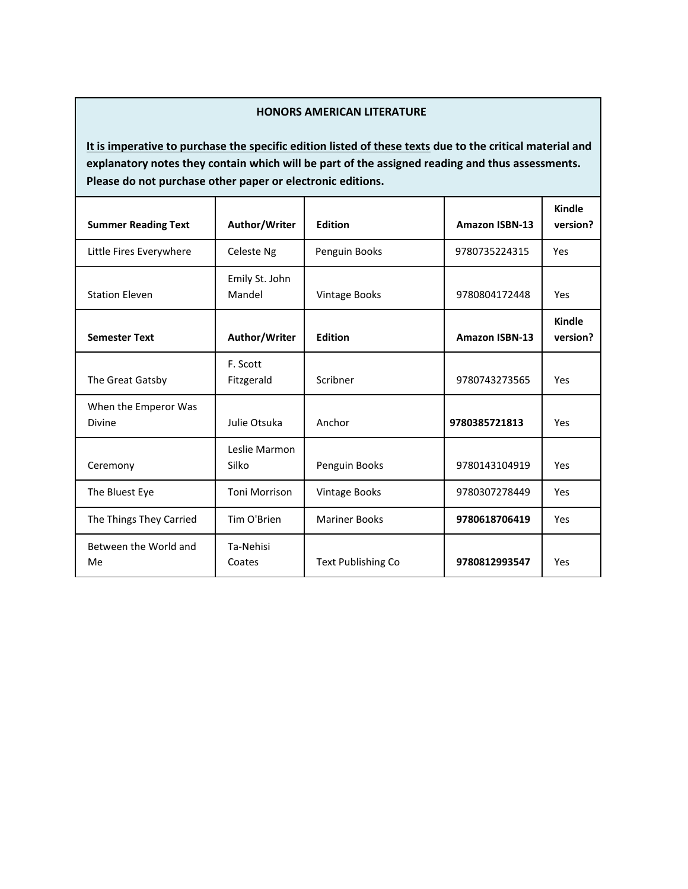# **HONORS AMERICAN LITERATURE**

| <b>Summer Reading Text</b>     | Author/Writer            | <b>Edition</b>            | <b>Amazon ISBN-13</b> | <b>Kindle</b><br>version? |
|--------------------------------|--------------------------|---------------------------|-----------------------|---------------------------|
| Little Fires Everywhere        | Celeste Ng               | Penguin Books             | 9780735224315         | Yes                       |
| <b>Station Eleven</b>          | Emily St. John<br>Mandel | <b>Vintage Books</b>      | 9780804172448         | Yes                       |
| <b>Semester Text</b>           | Author/Writer            | <b>Edition</b>            | <b>Amazon ISBN-13</b> | Kindle<br>version?        |
| The Great Gatsby               | F. Scott<br>Fitzgerald   | Scribner                  | 9780743273565         | Yes                       |
| When the Emperor Was<br>Divine | Julie Otsuka             | Anchor                    | 9780385721813         | Yes                       |
| Ceremony                       | Leslie Marmon<br>Silko   | Penguin Books             | 9780143104919         | Yes                       |
| The Bluest Eye                 | <b>Toni Morrison</b>     | <b>Vintage Books</b>      | 9780307278449         | Yes                       |
| The Things They Carried        | Tim O'Brien              | <b>Mariner Books</b>      | 9780618706419         | Yes                       |
| Between the World and<br>Me    | Ta-Nehisi<br>Coates      | <b>Text Publishing Co</b> | 9780812993547         | Yes                       |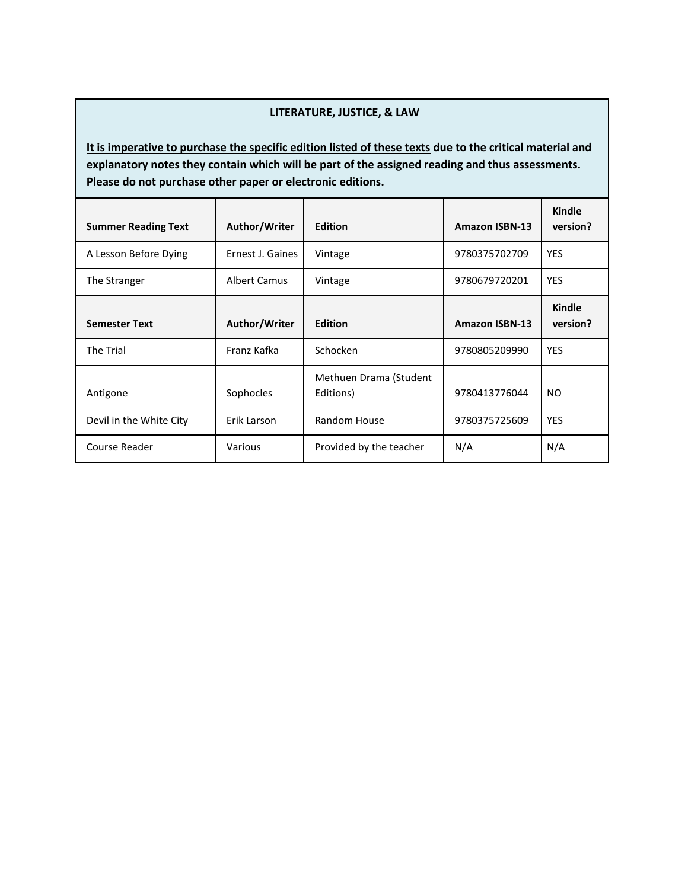### **LITERATURE, JUSTICE, & LAW**

| <b>Summer Reading Text</b> | Author/Writer    | <b>Edition</b>                      | <b>Amazon ISBN-13</b> | Kindle<br>version?        |
|----------------------------|------------------|-------------------------------------|-----------------------|---------------------------|
| A Lesson Before Dying      | Ernest J. Gaines | Vintage                             | 9780375702709         | <b>YES</b>                |
| The Stranger               | Albert Camus     | Vintage                             | 9780679720201         | <b>YES</b>                |
| <b>Semester Text</b>       | Author/Writer    | <b>Edition</b>                      | <b>Amazon ISBN-13</b> | <b>Kindle</b><br>version? |
| <b>The Trial</b>           | Franz Kafka      | Schocken                            | 9780805209990         | <b>YES</b>                |
| Antigone                   | Sophocles        | Methuen Drama (Student<br>Editions) | 9780413776044         | NO.                       |
| Devil in the White City    | Erik Larson      | Random House                        | 9780375725609         | <b>YES</b>                |
| Course Reader              | Various          | Provided by the teacher             | N/A                   | N/A                       |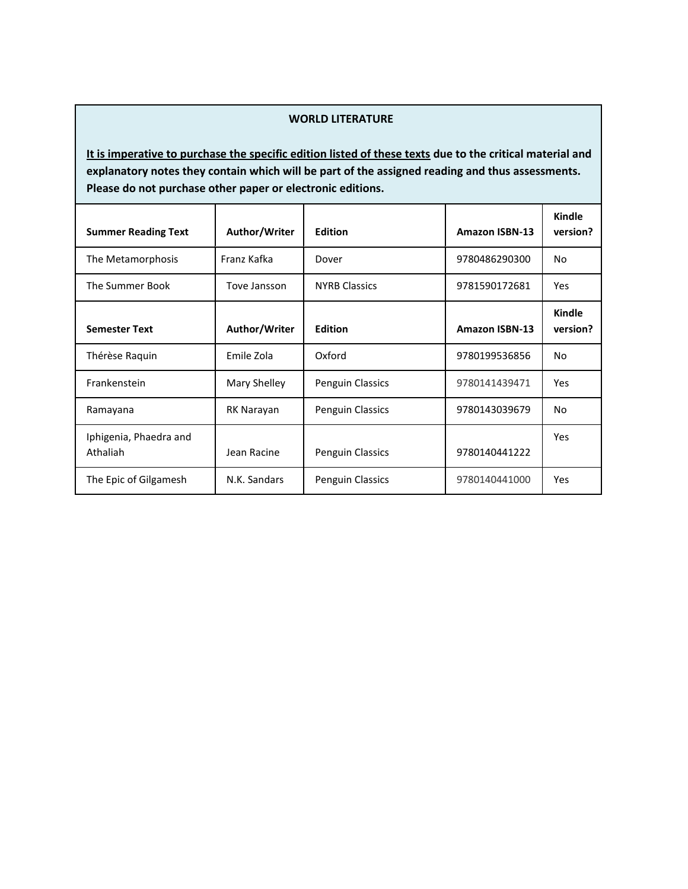# **WORLD LITERATURE**

| <b>Summer Reading Text</b>         | Author/Writer | <b>Edition</b>          | <b>Amazon ISBN-13</b> | Kindle<br>version? |
|------------------------------------|---------------|-------------------------|-----------------------|--------------------|
| The Metamorphosis                  | Franz Kafka   | Dover                   | 9780486290300         | No                 |
| The Summer Book                    | Tove Jansson  | <b>NYRB Classics</b>    | 9781590172681         | Yes                |
| <b>Semester Text</b>               | Author/Writer | <b>Edition</b>          | <b>Amazon ISBN-13</b> | Kindle<br>version? |
| Thérèse Raquin                     | Emile Zola    | Oxford                  | 9780199536856         | <b>No</b>          |
| Frankenstein                       | Mary Shelley  | <b>Penguin Classics</b> | 9780141439471         | Yes                |
| Ramayana                           | RK Narayan    | <b>Penguin Classics</b> | 9780143039679         | No                 |
| Iphigenia, Phaedra and<br>Athaliah | Jean Racine   | <b>Penguin Classics</b> | 9780140441222         | Yes                |
| The Epic of Gilgamesh              | N.K. Sandars  | <b>Penguin Classics</b> | 9780140441000         | Yes                |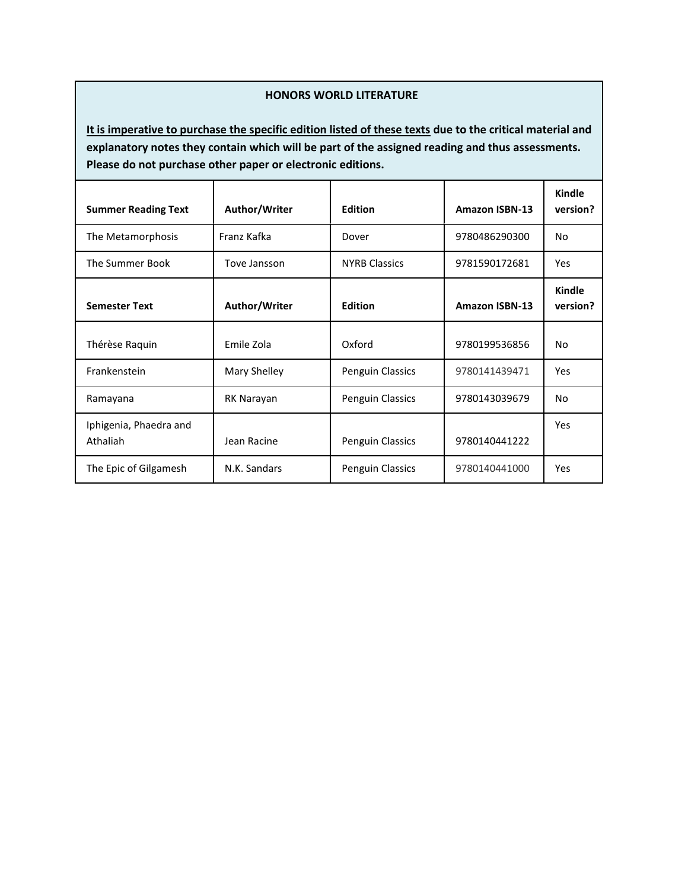### **HONORS WORLD LITERATURE**

| <b>Summer Reading Text</b>         | Author/Writer | <b>Edition</b>          | <b>Amazon ISBN-13</b> | Kindle<br>version?        |
|------------------------------------|---------------|-------------------------|-----------------------|---------------------------|
| The Metamorphosis                  | Franz Kafka   | Dover                   | 9780486290300         | No                        |
| The Summer Book                    | Tove Jansson  | <b>NYRB Classics</b>    | 9781590172681         | Yes                       |
| <b>Semester Text</b>               | Author/Writer | <b>Edition</b>          | <b>Amazon ISBN-13</b> | <b>Kindle</b><br>version? |
| Thérèse Raquin                     | Emile Zola    | Oxford                  | 9780199536856         | <b>No</b>                 |
| Frankenstein                       | Mary Shelley  | Penguin Classics        | 9780141439471         | Yes                       |
| Ramayana                           | RK Narayan    | Penguin Classics        | 9780143039679         | No                        |
| Iphigenia, Phaedra and<br>Athaliah | Jean Racine   | Penguin Classics        | 9780140441222         | Yes                       |
| The Epic of Gilgamesh              | N.K. Sandars  | <b>Penguin Classics</b> | 9780140441000         | Yes                       |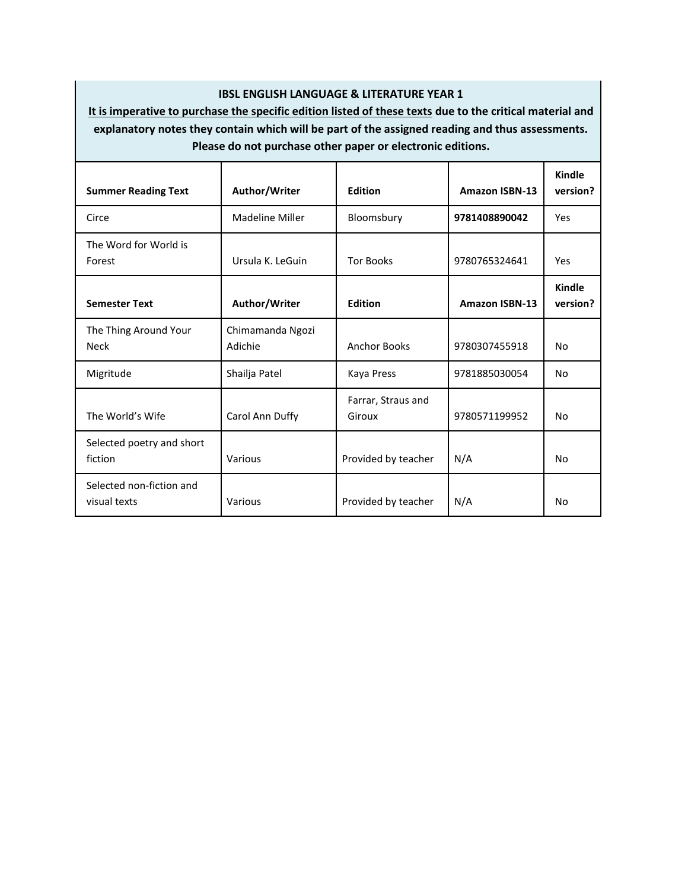# **IBSL ENGLISH LANGUAGE & LITERATURE YEAR 1**

| <b>Summer Reading Text</b>               | Author/Writer               | <b>Edition</b>               | <b>Amazon ISBN-13</b> | Kindle<br>version?        |
|------------------------------------------|-----------------------------|------------------------------|-----------------------|---------------------------|
| Circe                                    | <b>Madeline Miller</b>      | Bloomsbury                   | 9781408890042         | Yes                       |
| The Word for World is<br>Forest          | Ursula K. LeGuin            | <b>Tor Books</b>             | 9780765324641         | Yes                       |
| <b>Semester Text</b>                     | Author/Writer               | <b>Edition</b>               | <b>Amazon ISBN-13</b> | <b>Kindle</b><br>version? |
| The Thing Around Your<br><b>Neck</b>     | Chimamanda Ngozi<br>Adichie | <b>Anchor Books</b>          | 9780307455918         | <b>No</b>                 |
| Migritude                                | Shailja Patel               | Kaya Press                   | 9781885030054         | No                        |
| The World's Wife                         | Carol Ann Duffy             | Farrar, Straus and<br>Giroux | 9780571199952         | No                        |
| Selected poetry and short<br>fiction     | Various                     | Provided by teacher          | N/A                   | <b>No</b>                 |
| Selected non-fiction and<br>visual texts | Various                     | Provided by teacher          | N/A                   | No                        |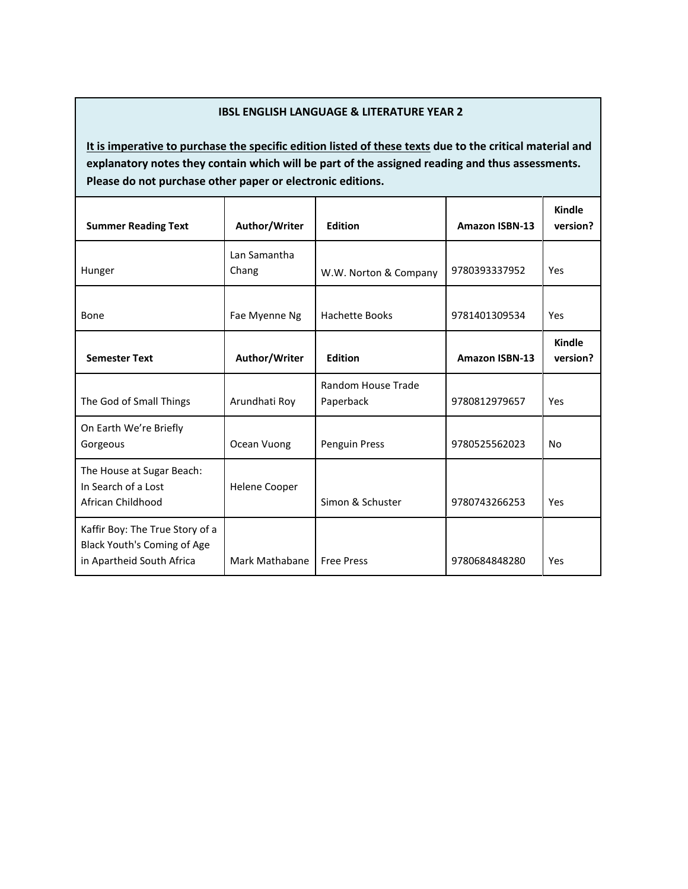# **IBSL ENGLISH LANGUAGE & LITERATURE YEAR 2**

| <b>Summer Reading Text</b>                                                                  | Author/Writer         | <b>Edition</b>                  | <b>Amazon ISBN-13</b> | Kindle<br>version? |
|---------------------------------------------------------------------------------------------|-----------------------|---------------------------------|-----------------------|--------------------|
| Hunger                                                                                      | Lan Samantha<br>Chang | W.W. Norton & Company           | 9780393337952         | Yes                |
| Bone                                                                                        | Fae Myenne Ng         | <b>Hachette Books</b>           | 9781401309534         | Yes                |
| <b>Semester Text</b>                                                                        | Author/Writer         | <b>Edition</b>                  | <b>Amazon ISBN-13</b> | Kindle<br>version? |
| The God of Small Things                                                                     | Arundhati Roy         | Random House Trade<br>Paperback | 9780812979657         | Yes                |
| On Earth We're Briefly<br>Gorgeous                                                          | Ocean Vuong           | Penguin Press                   | 9780525562023         | <b>No</b>          |
| The House at Sugar Beach:<br>In Search of a Lost<br>African Childhood                       | Helene Cooper         | Simon & Schuster                | 9780743266253         | Yes                |
| Kaffir Boy: The True Story of a<br>Black Youth's Coming of Age<br>in Apartheid South Africa | Mark Mathabane        | <b>Free Press</b>               | 9780684848280         | Yes                |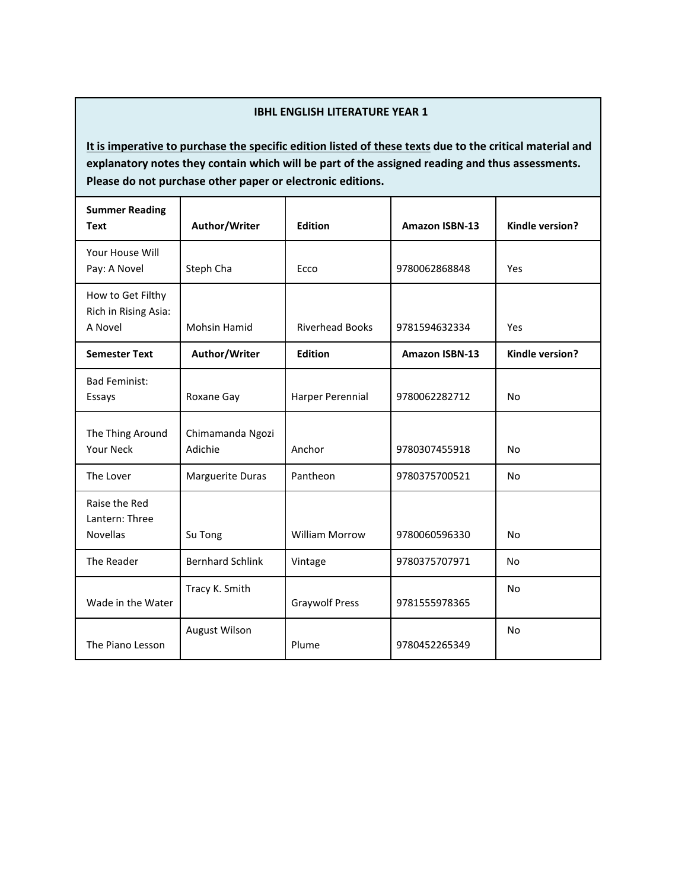# **IBHL ENGLISH LITERATURE YEAR 1**

| <b>Summer Reading</b><br><b>Text</b>                 | Author/Writer               | <b>Edition</b>         | Amazon ISBN-13        | Kindle version? |
|------------------------------------------------------|-----------------------------|------------------------|-----------------------|-----------------|
| Your House Will<br>Pay: A Novel                      | Steph Cha                   | Ecco                   | 9780062868848         | Yes             |
| How to Get Filthy<br>Rich in Rising Asia:<br>A Novel | <b>Mohsin Hamid</b>         | <b>Riverhead Books</b> | 9781594632334         | Yes             |
| <b>Semester Text</b>                                 | Author/Writer               | <b>Edition</b>         | <b>Amazon ISBN-13</b> | Kindle version? |
| <b>Bad Feminist:</b><br>Essays                       | Roxane Gay                  | Harper Perennial       | 9780062282712         | <b>No</b>       |
| The Thing Around<br><b>Your Neck</b>                 | Chimamanda Ngozi<br>Adichie | Anchor                 | 9780307455918         | <b>No</b>       |
| The Lover                                            | Marguerite Duras            | Pantheon               | 9780375700521         | <b>No</b>       |
| Raise the Red<br>Lantern: Three<br><b>Novellas</b>   | Su Tong                     | <b>William Morrow</b>  | 9780060596330         | <b>No</b>       |
| The Reader                                           | <b>Bernhard Schlink</b>     | Vintage                | 9780375707971         | No              |
| Wade in the Water                                    | Tracy K. Smith              | <b>Graywolf Press</b>  | 9781555978365         | <b>No</b>       |
| The Piano Lesson                                     | August Wilson               | Plume                  | 9780452265349         | <b>No</b>       |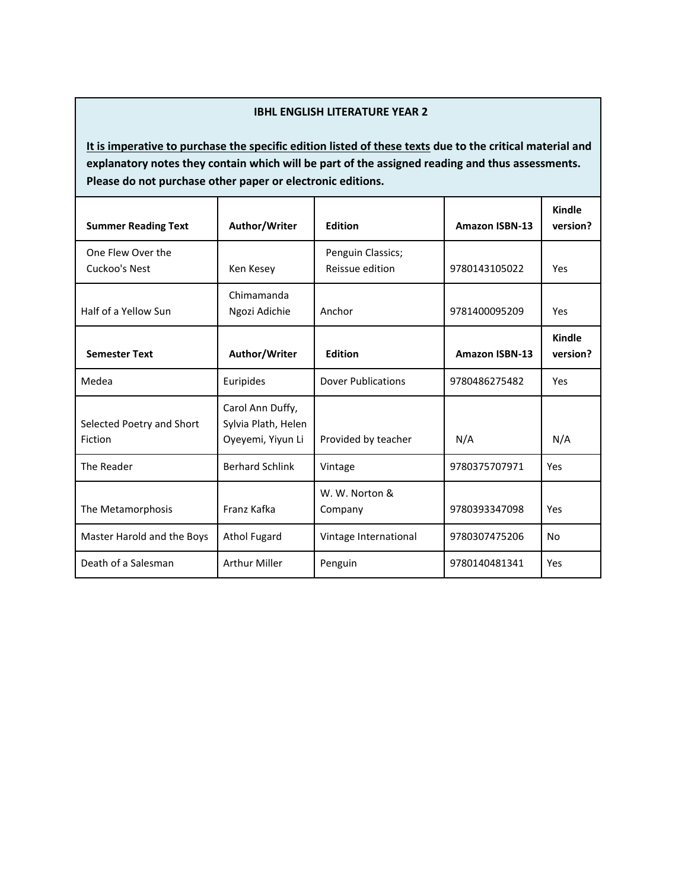# **IBHL ENGLISH LITERATURE YEAR 2**

| <b>Summer Reading Text</b>           | Author/Writer                                                | <b>Edition</b>                       | <b>Amazon ISBN-13</b> | Kindle<br>version? |
|--------------------------------------|--------------------------------------------------------------|--------------------------------------|-----------------------|--------------------|
| One Flew Over the<br>Cuckoo's Nest   | Ken Kesey                                                    | Penguin Classics;<br>Reissue edition | 9780143105022         | Yes                |
| Half of a Yellow Sun                 | Chimamanda<br>Ngozi Adichie                                  | Anchor                               | 9781400095209         | Yes                |
| <b>Semester Text</b>                 | Author/Writer                                                | <b>Edition</b>                       | <b>Amazon ISBN-13</b> | Kindle<br>version? |
| Medea                                | Euripides                                                    | <b>Dover Publications</b>            | 9780486275482         | Yes                |
| Selected Poetry and Short<br>Fiction | Carol Ann Duffy,<br>Sylvia Plath, Helen<br>Oyeyemi, Yiyun Li | Provided by teacher                  | N/A                   | N/A                |
| The Reader                           | <b>Berhard Schlink</b>                                       | Vintage                              | 9780375707971         | Yes                |
| The Metamorphosis                    | Franz Kafka                                                  | W. W. Norton &<br>Company            | 9780393347098         | Yes                |
| Master Harold and the Boys           | <b>Athol Fugard</b>                                          | Vintage International                | 9780307475206         | No                 |
| Death of a Salesman                  | <b>Arthur Miller</b>                                         | Penguin                              | 9780140481341         | Yes                |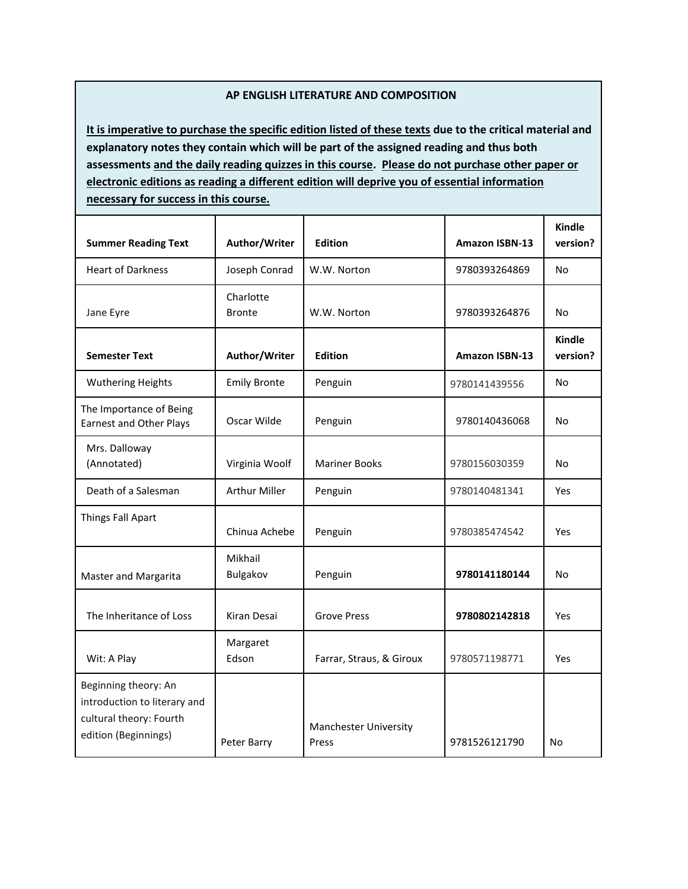### **AP ENGLISH LITERATURE AND COMPOSITION**

**It is imperative to purchase the specific edition listed of these texts due to the critical material and explanatory notes they contain which will be part of the assigned reading and thus both assessments and the daily reading quizzes in this course. Please do not purchase other paper or electronic editions as reading a different edition will deprive you of essential information necessary for success in this course.**

| <b>Summer Reading Text</b>                                                                              | Author/Writer              | <b>Edition</b>                        | <b>Amazon ISBN-13</b> | <b>Kindle</b><br>version? |
|---------------------------------------------------------------------------------------------------------|----------------------------|---------------------------------------|-----------------------|---------------------------|
| <b>Heart of Darkness</b>                                                                                | Joseph Conrad              | W.W. Norton                           | 9780393264869         | <b>No</b>                 |
| Jane Eyre                                                                                               | Charlotte<br><b>Bronte</b> | W.W. Norton                           | 9780393264876         | <b>No</b>                 |
| <b>Semester Text</b>                                                                                    | Author/Writer              | <b>Edition</b>                        | <b>Amazon ISBN-13</b> | <b>Kindle</b><br>version? |
| <b>Wuthering Heights</b>                                                                                | <b>Emily Bronte</b>        | Penguin                               | 9780141439556         | <b>No</b>                 |
| The Importance of Being<br><b>Earnest and Other Plays</b>                                               | Oscar Wilde                | Penguin                               | 9780140436068         | <b>No</b>                 |
| Mrs. Dalloway<br>(Annotated)                                                                            | Virginia Woolf             | <b>Mariner Books</b>                  | 9780156030359         | No                        |
| Death of a Salesman                                                                                     | <b>Arthur Miller</b>       | Penguin                               | 9780140481341         | Yes                       |
| Things Fall Apart                                                                                       | Chinua Achebe              | Penguin                               | 9780385474542         | <b>Yes</b>                |
| Master and Margarita                                                                                    | Mikhail<br>Bulgakov        | Penguin                               | 9780141180144         | No                        |
| The Inheritance of Loss                                                                                 | Kiran Desai                | <b>Grove Press</b>                    | 9780802142818         | Yes                       |
| Wit: A Play                                                                                             | Margaret<br>Edson          | Farrar, Straus, & Giroux              | 9780571198771         | Yes                       |
| Beginning theory: An<br>introduction to literary and<br>cultural theory: Fourth<br>edition (Beginnings) | Peter Barry                | <b>Manchester University</b><br>Press | 9781526121790         | No                        |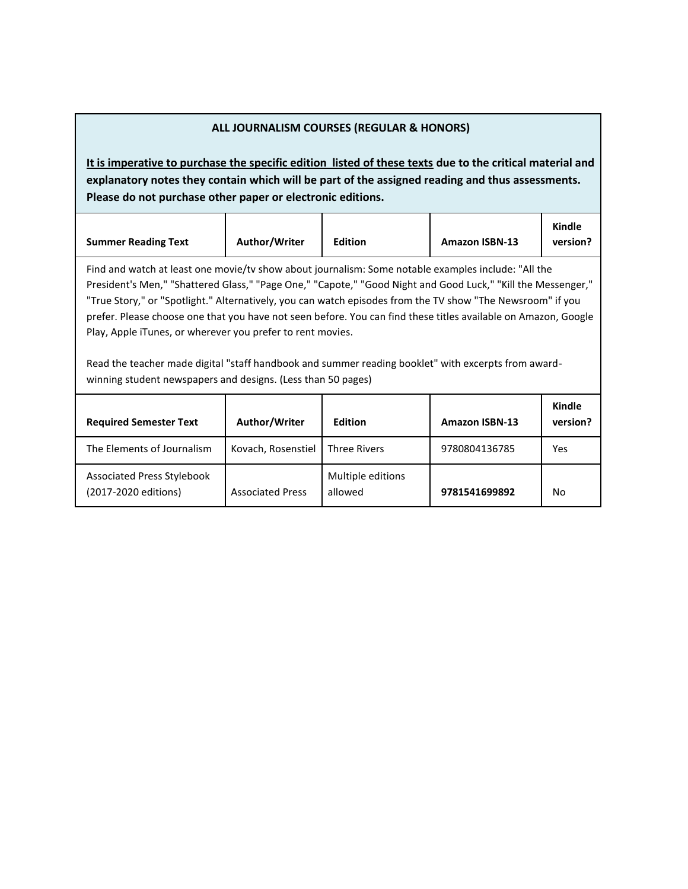| ALL JOURNALISM COURSES (REGULAR & HONORS)                                                                                                                                                                                                                                                                                                                                                                                                                                                                                                                                                                                                                                                |                         |                              |                       |                           |
|------------------------------------------------------------------------------------------------------------------------------------------------------------------------------------------------------------------------------------------------------------------------------------------------------------------------------------------------------------------------------------------------------------------------------------------------------------------------------------------------------------------------------------------------------------------------------------------------------------------------------------------------------------------------------------------|-------------------------|------------------------------|-----------------------|---------------------------|
| It is imperative to purchase the specific edition listed of these texts due to the critical material and<br>explanatory notes they contain which will be part of the assigned reading and thus assessments.<br>Please do not purchase other paper or electronic editions.                                                                                                                                                                                                                                                                                                                                                                                                                |                         |                              |                       |                           |
| <b>Summer Reading Text</b>                                                                                                                                                                                                                                                                                                                                                                                                                                                                                                                                                                                                                                                               | Author/Writer           | <b>Edition</b>               | <b>Amazon ISBN-13</b> | <b>Kindle</b><br>version? |
| Find and watch at least one movie/tv show about journalism: Some notable examples include: "All the<br>President's Men," "Shattered Glass," "Page One," "Capote," "Good Night and Good Luck," "Kill the Messenger,"<br>"True Story," or "Spotlight." Alternatively, you can watch episodes from the TV show "The Newsroom" if you<br>prefer. Please choose one that you have not seen before. You can find these titles available on Amazon, Google<br>Play, Apple iTunes, or wherever you prefer to rent movies.<br>Read the teacher made digital "staff handbook and summer reading booklet" with excerpts from award-<br>winning student newspapers and designs. (Less than 50 pages) |                         |                              |                       |                           |
| <b>Required Semester Text</b>                                                                                                                                                                                                                                                                                                                                                                                                                                                                                                                                                                                                                                                            | Author/Writer           | <b>Edition</b>               | <b>Amazon ISBN-13</b> | Kindle<br>version?        |
| The Elements of Journalism                                                                                                                                                                                                                                                                                                                                                                                                                                                                                                                                                                                                                                                               | Kovach, Rosenstiel      | <b>Three Rivers</b>          | 9780804136785         | Yes                       |
| <b>Associated Press Stylebook</b><br>(2017-2020 editions)                                                                                                                                                                                                                                                                                                                                                                                                                                                                                                                                                                                                                                | <b>Associated Press</b> | Multiple editions<br>allowed | 9781541699892         | No                        |